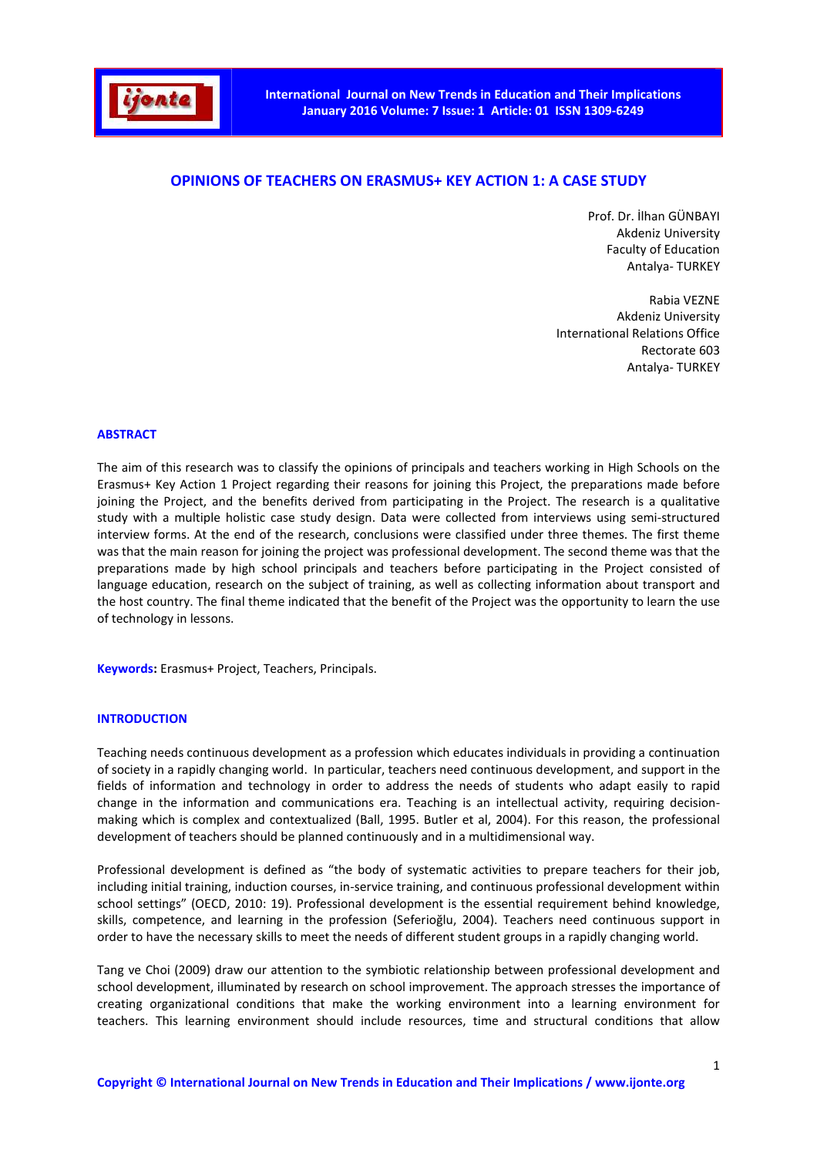

# **OPINIONS OF TEACHERS ON ERASMUS+ KEY ACTION 1: A CASE STUDY**

Prof. Dr. İlhan GÜNBAYI Akdeniz University Faculty of Education Antalya- TURKEY

Rabia VEZNE Akdeniz University International Relations Office Rectorate 603 Antalya- TURKEY

#### **ABSTRACT**

The aim of this research was to classify the opinions of principals and teachers working in High Schools on the Erasmus+ Key Action 1 Project regarding their reasons for joining this Project, the preparations made before joining the Project, and the benefits derived from participating in the Project. The research is a qualitative study with a multiple holistic case study design. Data were collected from interviews using semi-structured interview forms. At the end of the research, conclusions were classified under three themes. The first theme was that the main reason for joining the project was professional development. The second theme was that the preparations made by high school principals and teachers before participating in the Project consisted of language education, research on the subject of training, as well as collecting information about transport and the host country. The final theme indicated that the benefit of the Project was the opportunity to learn the use of technology in lessons.

**Keywords:** Erasmus+ Project, Teachers, Principals.

#### **INTRODUCTION**

Teaching needs continuous development as a profession which educates individuals in providing a continuation of society in a rapidly changing world. In particular, teachers need continuous development, and support in the fields of information and technology in order to address the needs of students who adapt easily to rapid change in the information and communications era. Teaching is an intellectual activity, requiring decisionmaking which is complex and contextualized (Ball, 1995. Butler et al, 2004). For this reason, the professional development of teachers should be planned continuously and in a multidimensional way.

Professional development is defined as "the body of systematic activities to prepare teachers for their job, including initial training, induction courses, in-service training, and continuous professional development within school settings" (OECD, 2010: 19). Professional development is the essential requirement behind knowledge, skills, competence, and learning in the profession (Seferioğlu, 2004). Teachers need continuous support in order to have the necessary skills to meet the needs of different student groups in a rapidly changing world.

Tang ve Choi (2009) draw our attention to the symbiotic relationship between professional development and school development, illuminated by research on school improvement. The approach stresses the importance of creating organizational conditions that make the working environment into a learning environment for teachers. This learning environment should include resources, time and structural conditions that allow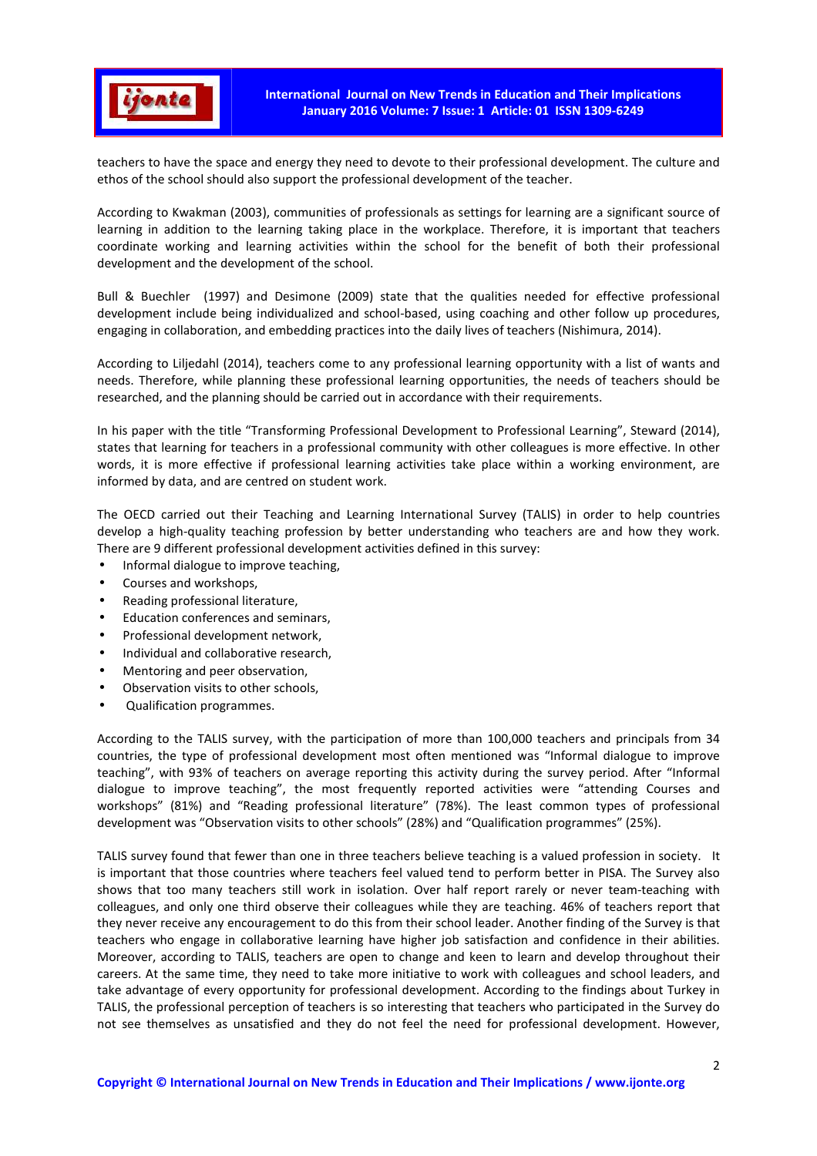

teachers to have the space and energy they need to devote to their professional development. The culture and ethos of the school should also support the professional development of the teacher.

According to Kwakman (2003), communities of professionals as settings for learning are a significant source of learning in addition to the learning taking place in the workplace. Therefore, it is important that teachers coordinate working and learning activities within the school for the benefit of both their professional development and the development of the school.

Bull & Buechler (1997) and Desimone (2009) state that the qualities needed for effective professional development include being individualized and school-based, using coaching and other follow up procedures, engaging in collaboration, and embedding practices into the daily lives of teachers (Nishimura, 2014).

According to Liljedahl (2014), teachers come to any professional learning opportunity with a list of wants and needs. Therefore, while planning these professional learning opportunities, the needs of teachers should be researched, and the planning should be carried out in accordance with their requirements.

In his paper with the title "Transforming Professional Development to Professional Learning", Steward (2014), states that learning for teachers in a professional community with other colleagues is more effective. In other words, it is more effective if professional learning activities take place within a working environment, are informed by data, and are centred on student work.

The OECD carried out their Teaching and Learning International Survey (TALIS) in order to help countries develop a high-quality teaching profession by better understanding who teachers are and how they work. There are 9 different professional development activities defined in this survey:

- Informal dialogue to improve teaching,
- Courses and workshops,
- Reading professional literature,
- Education conferences and seminars,
- Professional development network,
- Individual and collaborative research,
- Mentoring and peer observation,
- Observation visits to other schools,
- Qualification programmes.

According to the TALIS survey, with the participation of more than 100,000 teachers and principals from 34 countries, the type of professional development most often mentioned was "Informal dialogue to improve teaching", with 93% of teachers on average reporting this activity during the survey period. After "Informal dialogue to improve teaching", the most frequently reported activities were "attending Courses and workshops" (81%) and "Reading professional literature" (78%). The least common types of professional development was "Observation visits to other schools" (28%) and "Qualification programmes" (25%).

TALIS survey found that fewer than one in three teachers believe teaching is a valued profession in society. It is important that those countries where teachers feel valued tend to perform better in PISA. The Survey also shows that too many teachers still work in isolation. Over half report rarely or never team-teaching with colleagues, and only one third observe their colleagues while they are teaching. 46% of teachers report that they never receive any encouragement to do this from their school leader. Another finding of the Survey is that teachers who engage in collaborative learning have higher job satisfaction and confidence in their abilities. Moreover, according to TALIS, teachers are open to change and keen to learn and develop throughout their careers. At the same time, they need to take more initiative to work with colleagues and school leaders, and take advantage of every opportunity for professional development. According to the findings about Turkey in TALIS, the professional perception of teachers is so interesting that teachers who participated in the Survey do not see themselves as unsatisfied and they do not feel the need for professional development. However,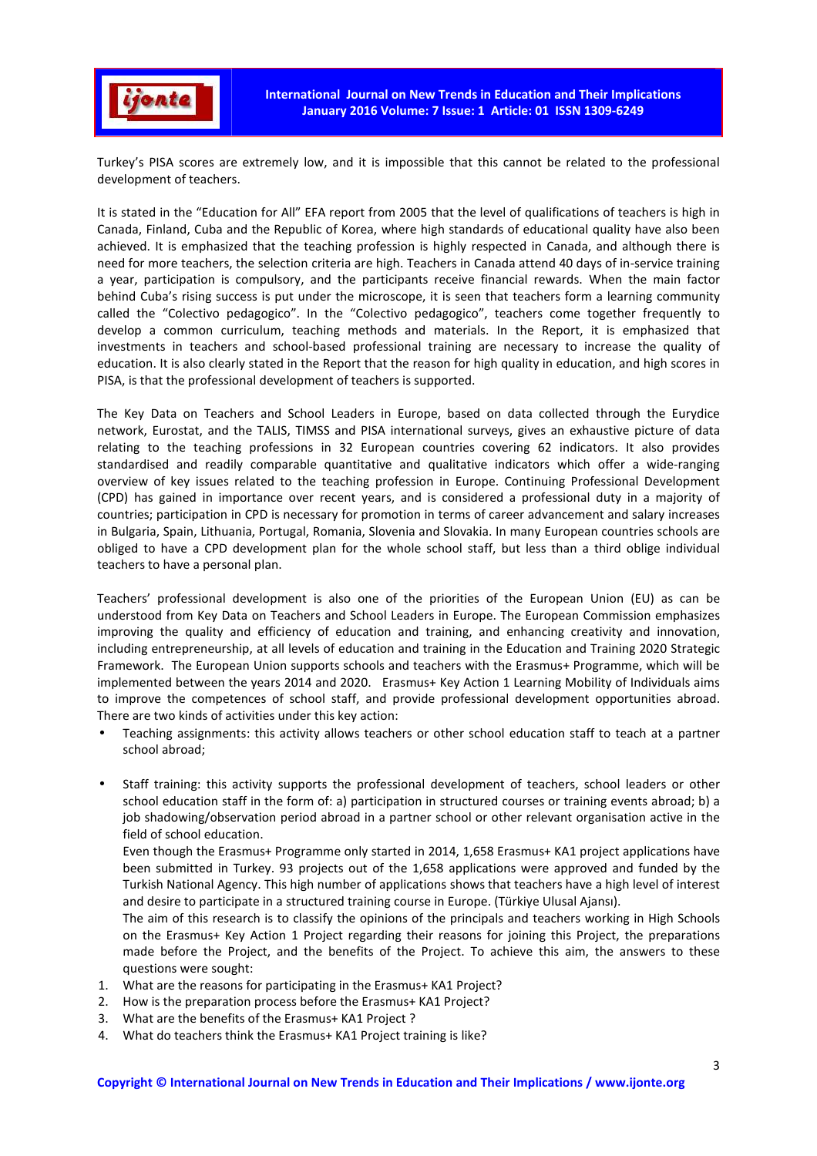

Turkey's PISA scores are extremely low, and it is impossible that this cannot be related to the professional development of teachers.

It is stated in the "Education for All" EFA report from 2005 that the level of qualifications of teachers is high in Canada, Finland, Cuba and the Republic of Korea, where high standards of educational quality have also been achieved. It is emphasized that the teaching profession is highly respected in Canada, and although there is need for more teachers, the selection criteria are high. Teachers in Canada attend 40 days of in-service training a year, participation is compulsory, and the participants receive financial rewards. When the main factor behind Cuba's rising success is put under the microscope, it is seen that teachers form a learning community called the "Colectivo pedagogico". In the "Colectivo pedagogico", teachers come together frequently to develop a common curriculum, teaching methods and materials. In the Report, it is emphasized that investments in teachers and school-based professional training are necessary to increase the quality of education. It is also clearly stated in the Report that the reason for high quality in education, and high scores in PISA, is that the professional development of teachers is supported.

The Key Data on Teachers and School Leaders in Europe, based on data collected through the Eurydice network, Eurostat, and the TALIS, TIMSS and PISA international surveys, gives an exhaustive picture of data relating to the teaching professions in 32 European countries covering 62 indicators. It also provides standardised and readily comparable quantitative and qualitative indicators which offer a wide-ranging overview of key issues related to the teaching profession in Europe. Continuing Professional Development (CPD) has gained in importance over recent years, and is considered a professional duty in a majority of countries; participation in CPD is necessary for promotion in terms of career advancement and salary increases in Bulgaria, Spain, Lithuania, Portugal, Romania, Slovenia and Slovakia. In many European countries schools are obliged to have a CPD development plan for the whole school staff, but less than a third oblige individual teachers to have a personal plan.

Teachers' professional development is also one of the priorities of the European Union (EU) as can be understood from Key Data on Teachers and School Leaders in Europe. The European Commission emphasizes improving the quality and efficiency of education and training, and enhancing creativity and innovation, including entrepreneurship, at all levels of education and training in the Education and Training 2020 Strategic Framework. The European Union supports schools and teachers with the Erasmus+ Programme, which will be implemented between the years 2014 and 2020. Erasmus+ Key Action 1 Learning Mobility of Individuals aims to improve the competences of school staff, and provide professional development opportunities abroad. There are two kinds of activities under this key action:

- Teaching assignments: this activity allows teachers or other school education staff to teach at a partner school abroad;
- Staff training: this activity supports the professional development of teachers, school leaders or other school education staff in the form of: a) participation in structured courses or training events abroad; b) a job shadowing/observation period abroad in a partner school or other relevant organisation active in the field of school education.

Even though the Erasmus+ Programme only started in 2014, 1,658 Erasmus+ KA1 project applications have been submitted in Turkey. 93 projects out of the 1,658 applications were approved and funded by the Turkish National Agency. This high number of applications shows that teachers have a high level of interest and desire to participate in a structured training course in Europe. (Türkiye Ulusal Ajansı).

The aim of this research is to classify the opinions of the principals and teachers working in High Schools on the Erasmus+ Key Action 1 Project regarding their reasons for joining this Project, the preparations made before the Project, and the benefits of the Project. To achieve this aim, the answers to these questions were sought:

- 1. What are the reasons for participating in the Erasmus+ KA1 Project?
- 2. How is the preparation process before the Erasmus+ KA1 Project?
- 3. What are the benefits of the Erasmus+ KA1 Project ?
- 4. What do teachers think the Erasmus+ KA1 Project training is like?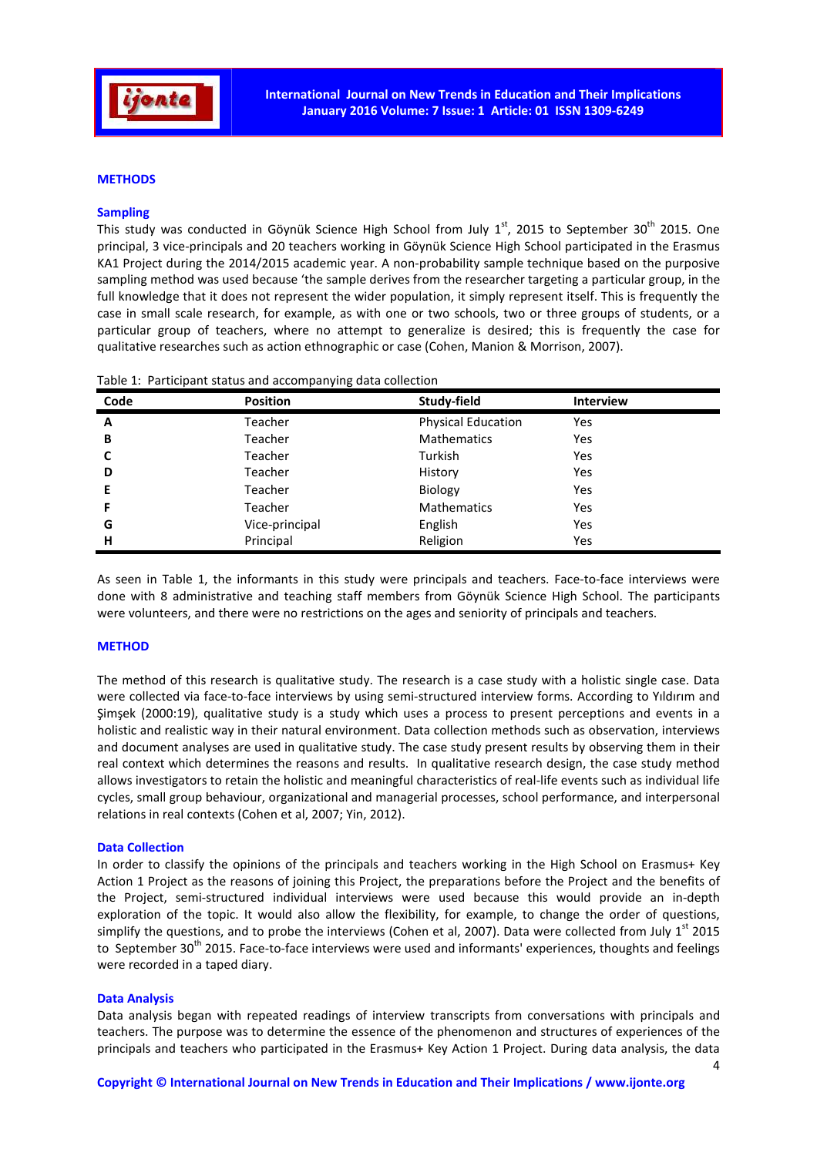

## **METHODS**

## **Sampling**

This study was conducted in Göynük Science High School from July  $1<sup>st</sup>$ , 2015 to September 30<sup>th</sup> 2015. One principal, 3 vice-principals and 20 teachers working in Göynük Science High School participated in the Erasmus KA1 Project during the 2014/2015 academic year. A non-probability sample technique based on the purposive sampling method was used because 'the sample derives from the researcher targeting a particular group, in the full knowledge that it does not represent the wider population, it simply represent itself. This is frequently the case in small scale research, for example, as with one or two schools, two or three groups of students, or a particular group of teachers, where no attempt to generalize is desired; this is frequently the case for qualitative researches such as action ethnographic or case (Cohen, Manion & Morrison, 2007).

| Code | <b>Position</b> | Study-field               | <b>Interview</b> |
|------|-----------------|---------------------------|------------------|
| A    | Teacher         | <b>Physical Education</b> | Yes              |
| В    | Teacher         | <b>Mathematics</b>        | Yes              |
|      | Teacher         | Turkish                   | Yes              |
| D    | Teacher         | History                   | Yes              |
| E    | Teacher         | Biology                   | Yes              |
|      | Teacher         | <b>Mathematics</b>        | Yes              |
| G    | Vice-principal  | English                   | Yes              |
| н    | Principal       | Religion                  | Yes              |

|  |  |  |  | Table 1: Participant status and accompanying data collection |
|--|--|--|--|--------------------------------------------------------------|
|--|--|--|--|--------------------------------------------------------------|

As seen in Table 1, the informants in this study were principals and teachers. Face-to-face interviews were done with 8 administrative and teaching staff members from Göynük Science High School. The participants were volunteers, and there were no restrictions on the ages and seniority of principals and teachers.

#### **METHOD**

The method of this research is qualitative study. The research is a case study with a holistic single case. Data were collected via face-to-face interviews by using semi-structured interview forms. According to Yıldırım and Şimşek (2000:19), qualitative study is a study which uses a process to present perceptions and events in a holistic and realistic way in their natural environment. Data collection methods such as observation, interviews and document analyses are used in qualitative study. The case study present results by observing them in their real context which determines the reasons and results. In qualitative research design, the case study method allows investigators to retain the holistic and meaningful characteristics of real-life events such as individual life cycles, small group behaviour, organizational and managerial processes, school performance, and interpersonal relations in real contexts (Cohen et al, 2007; Yin, 2012).

#### **Data Collection**

In order to classify the opinions of the principals and teachers working in the High School on Erasmus+ Key Action 1 Project as the reasons of joining this Project, the preparations before the Project and the benefits of the Project, semi-structured individual interviews were used because this would provide an in-depth exploration of the topic. It would also allow the flexibility, for example, to change the order of questions, simplify the questions, and to probe the interviews (Cohen et al, 2007). Data were collected from July  $1<sup>st</sup>$  2015 to September 30<sup>th</sup> 2015. Face-to-face interviews were used and informants' experiences, thoughts and feelings were recorded in a taped diary.

#### **Data Analysis**

Data analysis began with repeated readings of interview transcripts from conversations with principals and teachers. The purpose was to determine the essence of the phenomenon and structures of experiences of the principals and teachers who participated in the Erasmus+ Key Action 1 Project. During data analysis, the data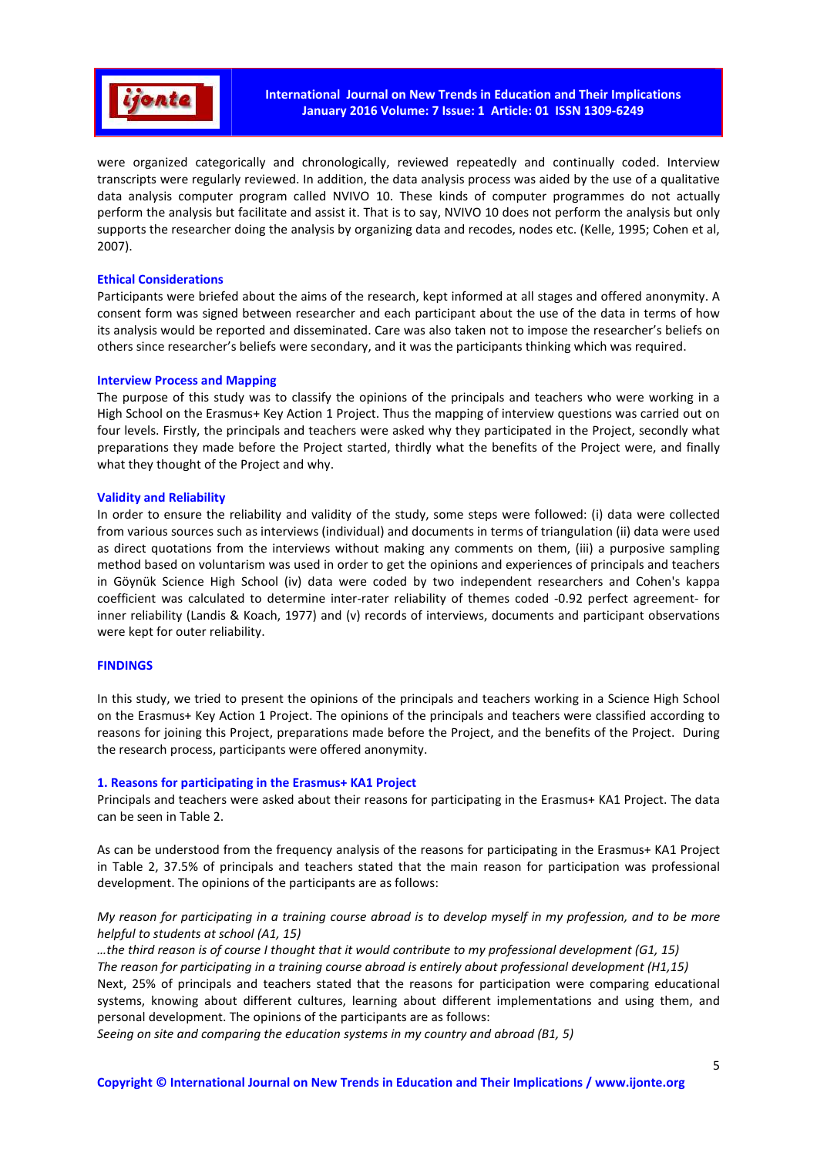

were organized categorically and chronologically, reviewed repeatedly and continually coded. Interview transcripts were regularly reviewed. In addition, the data analysis process was aided by the use of a qualitative data analysis computer program called NVIVO 10. These kinds of computer programmes do not actually perform the analysis but facilitate and assist it. That is to say, NVIVO 10 does not perform the analysis but only supports the researcher doing the analysis by organizing data and recodes, nodes etc. (Kelle, 1995; Cohen et al, 2007).

## **Ethical Considerations**

Participants were briefed about the aims of the research, kept informed at all stages and offered anonymity. A consent form was signed between researcher and each participant about the use of the data in terms of how its analysis would be reported and disseminated. Care was also taken not to impose the researcher's beliefs on others since researcher's beliefs were secondary, and it was the participants thinking which was required.

## **Interview Process and Mapping**

The purpose of this study was to classify the opinions of the principals and teachers who were working in a High School on the Erasmus+ Key Action 1 Project. Thus the mapping of interview questions was carried out on four levels. Firstly, the principals and teachers were asked why they participated in the Project, secondly what preparations they made before the Project started, thirdly what the benefits of the Project were, and finally what they thought of the Project and why.

## **Validity and Reliability**

In order to ensure the reliability and validity of the study, some steps were followed: (i) data were collected from various sources such as interviews (individual) and documents in terms of triangulation (ii) data were used as direct quotations from the interviews without making any comments on them, (iii) a purposive sampling method based on voluntarism was used in order to get the opinions and experiences of principals and teachers in Göynük Science High School (iv) data were coded by two independent researchers and Cohen's kappa coefficient was calculated to determine inter-rater reliability of themes coded -0.92 perfect agreement- for inner reliability (Landis & Koach, 1977) and (v) records of interviews, documents and participant observations were kept for outer reliability.

#### **FINDINGS**

In this study, we tried to present the opinions of the principals and teachers working in a Science High School on the Erasmus+ Key Action 1 Project. The opinions of the principals and teachers were classified according to reasons for joining this Project, preparations made before the Project, and the benefits of the Project. During the research process, participants were offered anonymity.

## **1. Reasons for participating in the Erasmus+ KA1 Project**

Principals and teachers were asked about their reasons for participating in the Erasmus+ KA1 Project. The data can be seen in Table 2.

As can be understood from the frequency analysis of the reasons for participating in the Erasmus+ KA1 Project in Table 2, 37.5% of principals and teachers stated that the main reason for participation was professional development. The opinions of the participants are as follows:

# *My reason for participating in a training course abroad is to develop myself in my profession, and to be more helpful to students at school (A1, 15)*

*…the third reason is of course I thought that it would contribute to my professional development (G1, 15) The reason for participating in a training course abroad is entirely about professional development (H1,15)*  Next, 25% of principals and teachers stated that the reasons for participation were comparing educational systems, knowing about different cultures, learning about different implementations and using them, and personal development. The opinions of the participants are as follows:

*Seeing on site and comparing the education systems in my country and abroad (B1, 5)*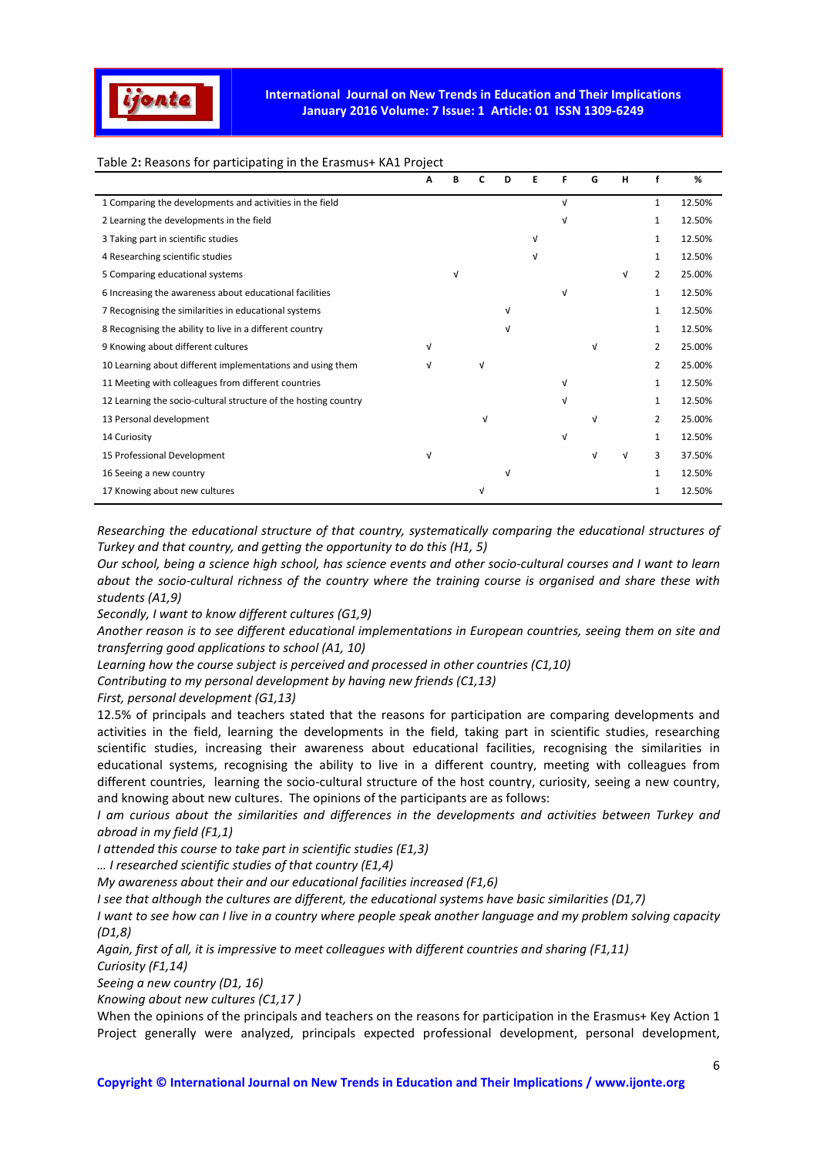

# Table 2**:** Reasons for participating in the Erasmus+ KA1 Project

|                                                                 | А |   | D | Ε | F | G          | н |                | %      |
|-----------------------------------------------------------------|---|---|---|---|---|------------|---|----------------|--------|
| 1 Comparing the developments and activities in the field        |   |   |   |   | V |            |   | $\mathbf{1}$   | 12.50% |
| 2 Learning the developments in the field                        |   |   |   |   |   |            |   | 1              | 12.50% |
| 3 Taking part in scientific studies                             |   |   |   | v |   |            |   | 1              | 12.50% |
| 4 Researching scientific studies                                |   |   |   | v |   |            |   | 1              | 12.50% |
| 5 Comparing educational systems                                 |   |   |   |   |   |            | v | $\overline{2}$ | 25.00% |
| 6 Increasing the awareness about educational facilities         |   |   |   |   | v |            |   | 1              | 12.50% |
| 7 Recognising the similarities in educational systems           |   |   | V |   |   |            |   | 1              | 12.50% |
| 8 Recognising the ability to live in a different country        |   |   | V |   |   |            |   | 1              | 12.50% |
| 9 Knowing about different cultures                              |   |   |   |   |   | $\sqrt{ }$ |   | 2              | 25.00% |
| 10 Learning about different implementations and using them      |   | v |   |   |   |            |   | $\overline{2}$ | 25.00% |
| 11 Meeting with colleagues from different countries             |   |   |   |   |   |            |   |                | 12.50% |
| 12 Learning the socio-cultural structure of the hosting country |   |   |   |   | v |            |   | 1              | 12.50% |
| 13 Personal development                                         |   | v |   |   |   | v          |   | 2              | 25.00% |
| 14 Curiosity                                                    |   |   |   |   | v |            |   | 1              | 12.50% |
| 15 Professional Development                                     | V |   |   |   |   | v          | ν | 3              | 37.50% |
| 16 Seeing a new country                                         |   |   | V |   |   |            |   | $\mathbf{1}$   | 12.50% |
| 17 Knowing about new cultures                                   |   |   |   |   |   |            |   | 1              | 12.50% |

*Researching the educational structure of that country, systematically comparing the educational structures of Turkey and that country, and getting the opportunity to do this (H1, 5)* 

*Our school, being a science high school, has science events and other socio-cultural courses and I want to learn about the socio-cultural richness of the country where the training course is organised and share these with students (A1,9)* 

*Secondly, I want to know different cultures (G1,9)* 

*Another reason is to see different educational implementations in European countries, seeing them on site and transferring good applications to school (A1, 10)* 

*Learning how the course subject is perceived and processed in other countries (C1,10)* 

*Contributing to my personal development by having new friends (C1,13)* 

*First, personal development (G1,13)*

12.5% of principals and teachers stated that the reasons for participation are comparing developments and activities in the field, learning the developments in the field, taking part in scientific studies, researching scientific studies, increasing their awareness about educational facilities, recognising the similarities in educational systems, recognising the ability to live in a different country, meeting with colleagues from different countries, learning the socio-cultural structure of the host country, curiosity, seeing a new country, and knowing about new cultures. The opinions of the participants are as follows:

*I am curious about the similarities and differences in the developments and activities between Turkey and abroad in my field (F1,1)* 

*I attended this course to take part in scientific studies (E1,3)* 

*… I researched scientific studies of that country (E1,4)* 

*My awareness about their and our educational facilities increased (F1,6)* 

*I see that although the cultures are different, the educational systems have basic similarities (D1,7)* 

*I want to see how can I live in a country where people speak another language and my problem solving capacity (D1,8)* 

*Again, first of all, it is impressive to meet colleagues with different countries and sharing (F1,11) Curiosity (F1,14)* 

*Seeing a new country (D1, 16)* 

*Knowing about new cultures (C1,17 )* 

When the opinions of the principals and teachers on the reasons for participation in the Erasmus+ Key Action 1 Project generally were analyzed, principals expected professional development, personal development,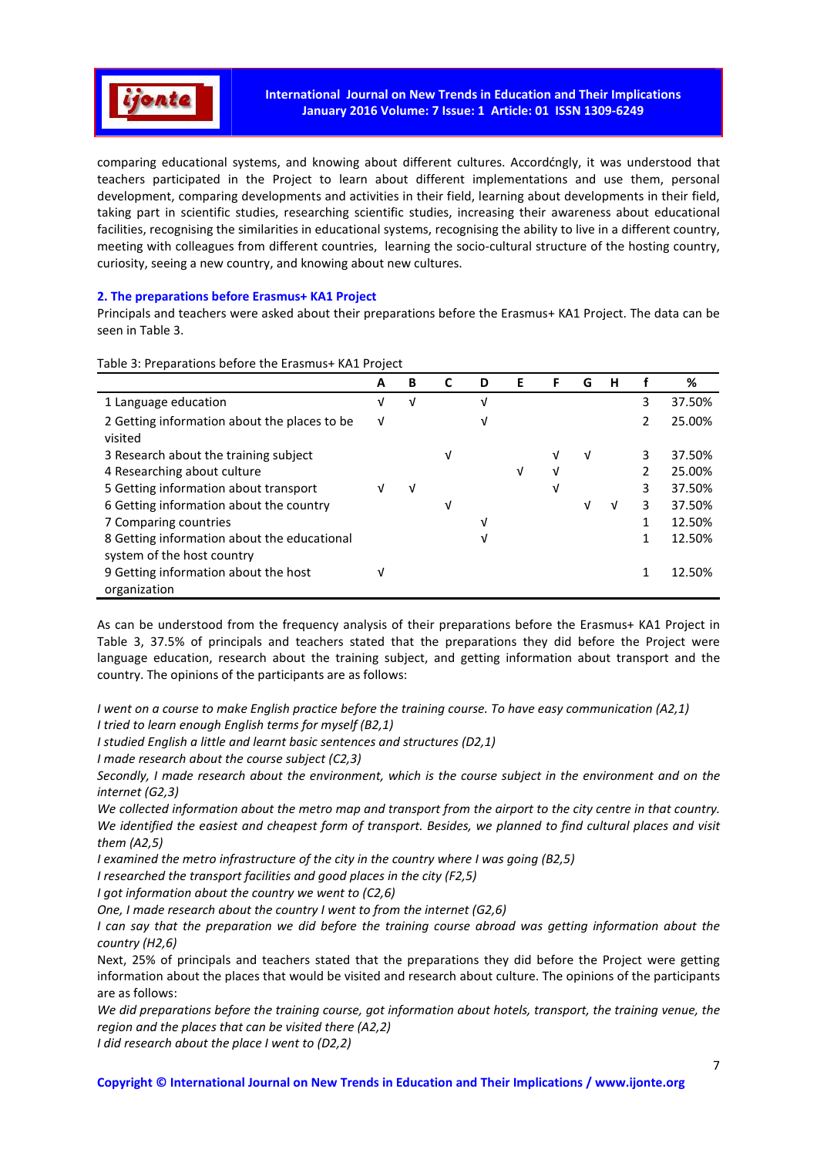

comparing educational systems, and knowing about different cultures. Accordćngly, it was understood that teachers participated in the Project to learn about different implementations and use them, personal development, comparing developments and activities in their field, learning about developments in their field, taking part in scientific studies, researching scientific studies, increasing their awareness about educational facilities, recognising the similarities in educational systems, recognising the ability to live in a different country, meeting with colleagues from different countries, learning the socio-cultural structure of the hosting country, curiosity, seeing a new country, and knowing about new cultures.

# **2. The preparations before Erasmus+ KA1 Project**

Principals and teachers were asked about their preparations before the Erasmus+ KA1 Project. The data can be seen in Table 3.

|                                                                           | A | B | C | D | Е | F | G | н |               | %      |
|---------------------------------------------------------------------------|---|---|---|---|---|---|---|---|---------------|--------|
| 1 Language education                                                      | ν | V |   | V |   |   |   |   | 3             | 37.50% |
| 2 Getting information about the places to be<br>visited                   | ν |   |   | V |   |   |   |   | $\mathcal{L}$ | 25.00% |
| 3 Research about the training subject                                     |   |   | ν |   |   |   | v |   | 3             | 37.50% |
| 4 Researching about culture                                               |   |   |   |   | V |   |   |   |               | 25.00% |
| 5 Getting information about transport                                     |   | V |   |   |   | V |   |   | 3             | 37.50% |
| 6 Getting information about the country                                   |   |   | ν |   |   |   | ν | v | 3             | 37.50% |
| 7 Comparing countries                                                     |   |   |   | V |   |   |   |   | 1             | 12.50% |
| 8 Getting information about the educational<br>system of the host country |   |   |   | V |   |   |   |   | 1             | 12.50% |
| 9 Getting information about the host<br>organization                      | v |   |   |   |   |   |   |   |               | 12.50% |

Table 3: Preparations before the Erasmus+ KA1 Project

As can be understood from the frequency analysis of their preparations before the Erasmus+ KA1 Project in Table 3, 37.5% of principals and teachers stated that the preparations they did before the Project were language education, research about the training subject, and getting information about transport and the country. The opinions of the participants are as follows:

*I went on a course to make English practice before the training course. To have easy communication (A2,1)* 

*I studied English a little and learnt basic sentences and structures (D2,1)* 

*I made research about the course subject (C2,3)* 

*Secondly, I made research about the environment, which is the course subject in the environment and on the internet (G2,3)* 

*We collected information about the metro map and transport from the airport to the city centre in that country. We identified the easiest and cheapest form of transport. Besides, we planned to find cultural places and visit them (A2,5)* 

*I examined the metro infrastructure of the city in the country where I was going (B2,5)* 

*I researched the transport facilities and good places in the city (F2,5)* 

*I got information about the country we went to (C2,6)* 

*One, I made research about the country I went to from the internet (G2,6)* 

*I can say that the preparation we did before the training course abroad was getting information about the country (H2,6)* 

Next, 25% of principals and teachers stated that the preparations they did before the Project were getting information about the places that would be visited and research about culture. The opinions of the participants are as follows:

*We did preparations before the training course, got information about hotels, transport, the training venue, the region and the places that can be visited there (A2,2)* 

*I did research about the place I went to (D2,2)* 

*I tried to learn enough English terms for myself (B2,1)*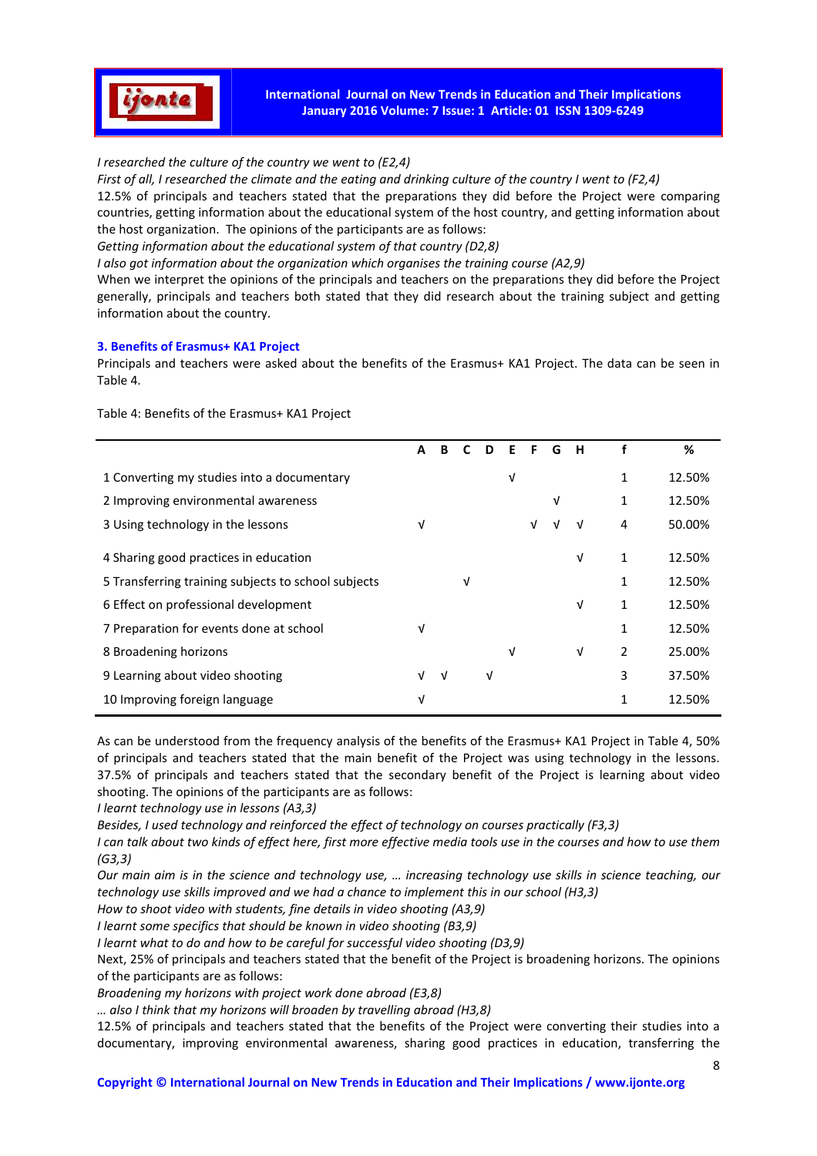

**International Journal on New Trends in Education and Their Implications January 2016 Volume: 7 Issue: 1 Article: 01 ISSN 1309-6249** 

# *I researched the culture of the country we went to (E2,4)*

*First of all, I researched the climate and the eating and drinking culture of the country I went to (F2,4)*  12.5% of principals and teachers stated that the preparations they did before the Project were comparing countries, getting information about the educational system of the host country, and getting information about the host organization. The opinions of the participants are as follows:

*Getting information about the educational system of that country (D2,8)* 

*I also got information about the organization which organises the training course (A2,9)* 

When we interpret the opinions of the principals and teachers on the preparations they did before the Project generally, principals and teachers both stated that they did research about the training subject and getting information about the country.

#### **3. Benefits of Erasmus+ KA1 Project**

Principals and teachers were asked about the benefits of the Erasmus+ KA1 Project. The data can be seen in Table 4.

**A B C D E F G H f %**  1 Converting my studies into a documentary  $\sqrt{1}$  12.50% 2 Improving environmental awareness √ 1 12.50% 3 Using technology in the lessons  $\sqrt{$  √ √ √ √ 4 50.00% 4 Sharing good practices in education → 12.50% → 12.50% 5 Transferring training subjects to school subjects  $\sqrt{1}$  12.50% 6 Effect on professional development √ 1 12.50% 7 Preparation for events done at school  $\sqrt{1}$  12.50% 8 Broadening horizons √ √ 2 25.00% 9 Learning about video shooting √ √ √ 3 37.50% 10 Improving foreign language  $\sqrt{1}$  12.50%

Table 4: Benefits of the Erasmus+ KA1 Project

As can be understood from the frequency analysis of the benefits of the Erasmus+ KA1 Project in Table 4, 50% of principals and teachers stated that the main benefit of the Project was using technology in the lessons. 37.5% of principals and teachers stated that the secondary benefit of the Project is learning about video shooting. The opinions of the participants are as follows:

*I learnt technology use in lessons (A3,3)* 

*Besides, I used technology and reinforced the effect of technology on courses practically (F3,3)* 

*I can talk about two kinds of effect here, first more effective media tools use in the courses and how to use them (G3,3)* 

*Our main aim is in the science and technology use, … increasing technology use skills in science teaching, our technology use skills improved and we had a chance to implement this in our school (H3,3)* 

*How to shoot video with students, fine details in video shooting (A3,9)* 

*I learnt some specifics that should be known in video shooting (B3,9)* 

*I learnt what to do and how to be careful for successful video shooting (D3,9)* 

Next, 25% of principals and teachers stated that the benefit of the Project is broadening horizons. The opinions of the participants are as follows:

*Broadening my horizons with project work done abroad (E3,8)* 

*… also I think that my horizons will broaden by travelling abroad (H3,8)* 

12.5% of principals and teachers stated that the benefits of the Project were converting their studies into a documentary, improving environmental awareness, sharing good practices in education, transferring the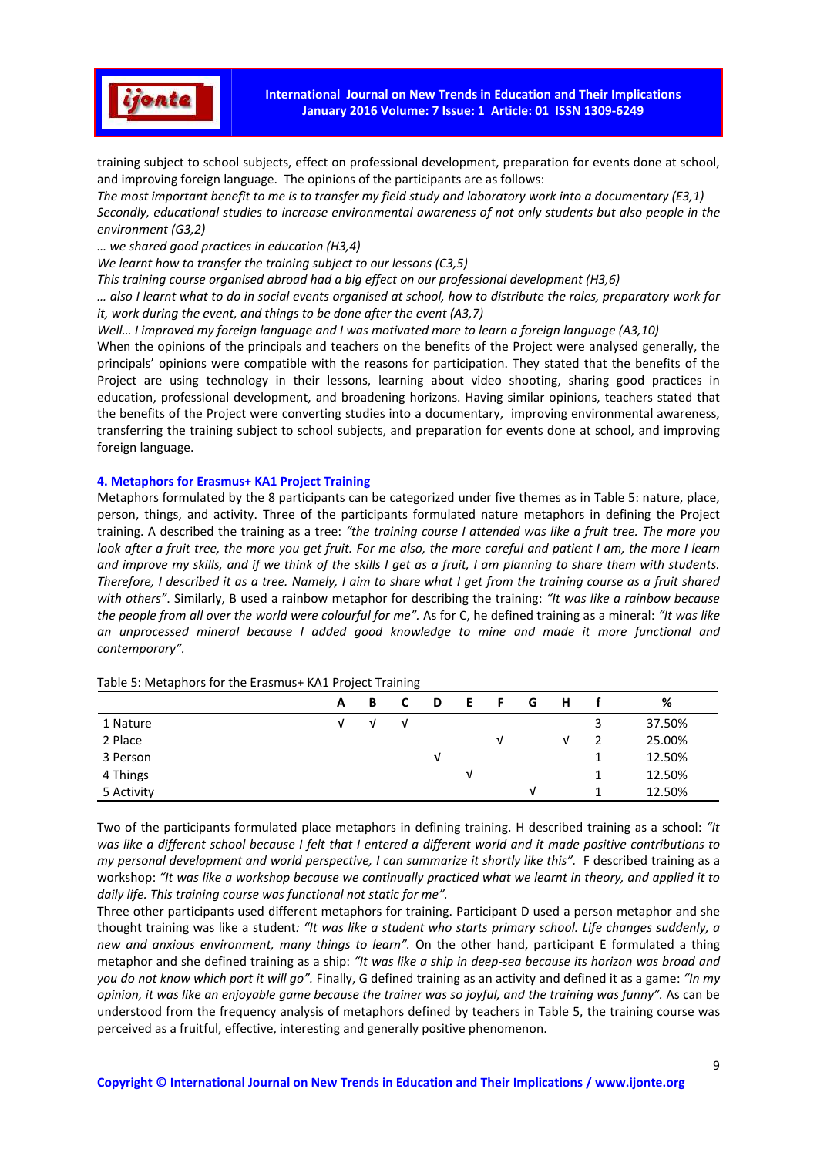

training subject to school subjects, effect on professional development, preparation for events done at school, and improving foreign language. The opinions of the participants are as follows:

*The most important benefit to me is to transfer my field study and laboratory work into a documentary (E3,1) Secondly, educational studies to increase environmental awareness of not only students but also people in the environment (G3,2)* 

*… we shared good practices in education (H3,4)* 

*We learnt how to transfer the training subject to our lessons (C3,5)* 

*This training course organised abroad had a big effect on our professional development (H3,6)* 

*… also I learnt what to do in social events organised at school, how to distribute the roles, preparatory work for it, work during the event, and things to be done after the event (A3,7)* 

*Well… I improved my foreign language and I was motivated more to learn a foreign language (A3,10)*

When the opinions of the principals and teachers on the benefits of the Project were analysed generally, the principals' opinions were compatible with the reasons for participation. They stated that the benefits of the Project are using technology in their lessons, learning about video shooting, sharing good practices in education, professional development, and broadening horizons. Having similar opinions, teachers stated that the benefits of the Project were converting studies into a documentary, improving environmental awareness, transferring the training subject to school subjects, and preparation for events done at school, and improving foreign language.

## **4. Metaphors for Erasmus+ KA1 Project Training**

Metaphors formulated by the 8 participants can be categorized under five themes as in Table 5: nature, place, person, things, and activity. Three of the participants formulated nature metaphors in defining the Project training. A described the training as a tree: *"the training course I attended was like a fruit tree. The more you look after a fruit tree, the more you get fruit. For me also, the more careful and patient I am, the more I learn and improve my skills, and if we think of the skills I get as a fruit, I am planning to share them with students. Therefore, I described it as a tree. Namely, I aim to share what I get from the training course as a fruit shared with others"*. Similarly, B used a rainbow metaphor for describing the training: *"It was like a rainbow because the people from all over the world were colourful for me".* As for C, he defined training as a mineral: *"It was like an unprocessed mineral because I added good knowledge to mine and made it more functional and contemporary".* 

| - - - - -  | $ \cdot$ | - - - | ັ |   |   |   |   |   |   |        |
|------------|----------|-------|---|---|---|---|---|---|---|--------|
|            | A        | в     |   | D |   |   | G | н |   | %      |
| 1 Nature   |          |       | v |   |   |   |   |   | 3 | 37.50% |
| 2 Place    |          |       |   |   |   | ν |   | ν | 2 | 25.00% |
| 3 Person   |          |       |   |   |   |   |   |   |   | 12.50% |
| 4 Things   |          |       |   |   | v |   |   |   |   | 12.50% |
| 5 Activity |          |       |   |   |   |   | V |   |   | 12.50% |

Table 5: Metaphors for the Erasmus+ KA1 Project Training

Two of the participants formulated place metaphors in defining training. H described training as a school: *"It was like a different school because I felt that I entered a different world and it made positive contributions to my personal development and world perspective, I can summarize it shortly like this"*. F described training as a workshop: *"It was like a workshop because we continually practiced what we learnt in theory, and applied it to daily life. This training course was functional not static for me".*

Three other participants used different metaphors for training. Participant D used a person metaphor and she thought training was like a student*: "It was like a student who starts primary school. Life changes suddenly, a new and anxious environment, many things to learn".* On the other hand, participant E formulated a thing metaphor and she defined training as a ship: *"It was like a ship in deep-sea because its horizon was broad and you do not know which port it will go".* Finally, G defined training as an activity and defined it as a game: *"In my opinion, it was like an enjoyable game because the trainer was so joyful, and the training was funny".* As can be understood from the frequency analysis of metaphors defined by teachers in Table 5, the training course was perceived as a fruitful, effective, interesting and generally positive phenomenon.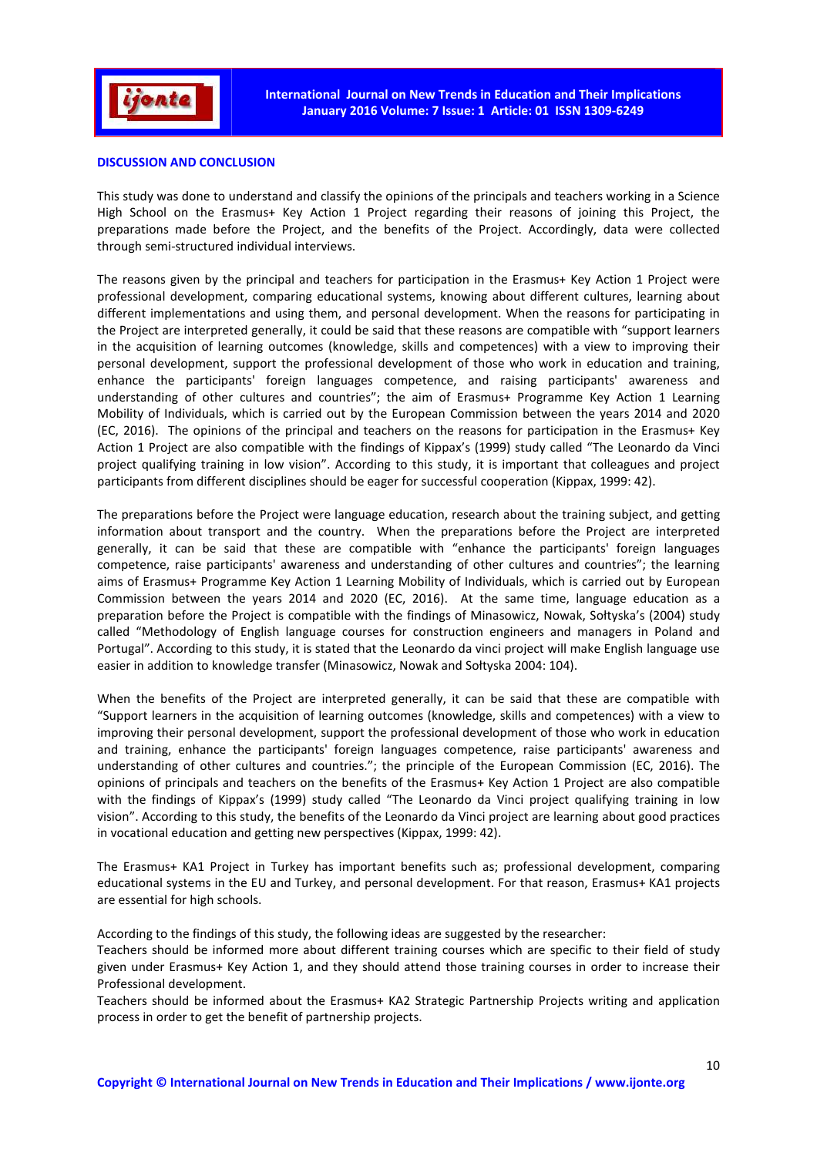

## **DISCUSSION AND CONCLUSION**

This study was done to understand and classify the opinions of the principals and teachers working in a Science High School on the Erasmus+ Key Action 1 Project regarding their reasons of joining this Project, the preparations made before the Project, and the benefits of the Project. Accordingly, data were collected through semi-structured individual interviews.

The reasons given by the principal and teachers for participation in the Erasmus+ Key Action 1 Project were professional development, comparing educational systems, knowing about different cultures, learning about different implementations and using them, and personal development. When the reasons for participating in the Project are interpreted generally, it could be said that these reasons are compatible with "support learners in the acquisition of learning outcomes (knowledge, skills and competences) with a view to improving their personal development, support the professional development of those who work in education and training, enhance the participants' foreign languages competence, and raising participants' awareness and understanding of other cultures and countries"; the aim of Erasmus+ Programme Key Action 1 Learning Mobility of Individuals, which is carried out by the European Commission between the years 2014 and 2020 (EC, 2016). The opinions of the principal and teachers on the reasons for participation in the Erasmus+ Key Action 1 Project are also compatible with the findings of Kippax's (1999) study called "The Leonardo da Vinci project qualifying training in low vision". According to this study, it is important that colleagues and project participants from different disciplines should be eager for successful cooperation (Kippax, 1999: 42).

The preparations before the Project were language education, research about the training subject, and getting information about transport and the country. When the preparations before the Project are interpreted generally, it can be said that these are compatible with "enhance the participants' foreign languages competence, raise participants' awareness and understanding of other cultures and countries"; the learning aims of Erasmus+ Programme Key Action 1 Learning Mobility of Individuals, which is carried out by European Commission between the years 2014 and 2020 (EC, 2016). At the same time, language education as a preparation before the Project is compatible with the findings of Minasowicz, Nowak, Sołtyska's (2004) study called "Methodology of English language courses for construction engineers and managers in Poland and Portugal". According to this study, it is stated that the Leonardo da vinci project will make English language use easier in addition to knowledge transfer (Minasowicz, Nowak and Sołtyska 2004: 104).

When the benefits of the Project are interpreted generally, it can be said that these are compatible with "Support learners in the acquisition of learning outcomes (knowledge, skills and competences) with a view to improving their personal development, support the professional development of those who work in education and training, enhance the participants' foreign languages competence, raise participants' awareness and understanding of other cultures and countries."; the principle of the European Commission (EC, 2016). The opinions of principals and teachers on the benefits of the Erasmus+ Key Action 1 Project are also compatible with the findings of Kippax's (1999) study called "The Leonardo da Vinci project qualifying training in low vision". According to this study, the benefits of the Leonardo da Vinci project are learning about good practices in vocational education and getting new perspectives (Kippax, 1999: 42).

The Erasmus+ KA1 Project in Turkey has important benefits such as; professional development, comparing educational systems in the EU and Turkey, and personal development. For that reason, Erasmus+ KA1 projects are essential for high schools.

According to the findings of this study, the following ideas are suggested by the researcher:

Teachers should be informed more about different training courses which are specific to their field of study given under Erasmus+ Key Action 1, and they should attend those training courses in order to increase their Professional development.

Teachers should be informed about the Erasmus+ KA2 Strategic Partnership Projects writing and application process in order to get the benefit of partnership projects.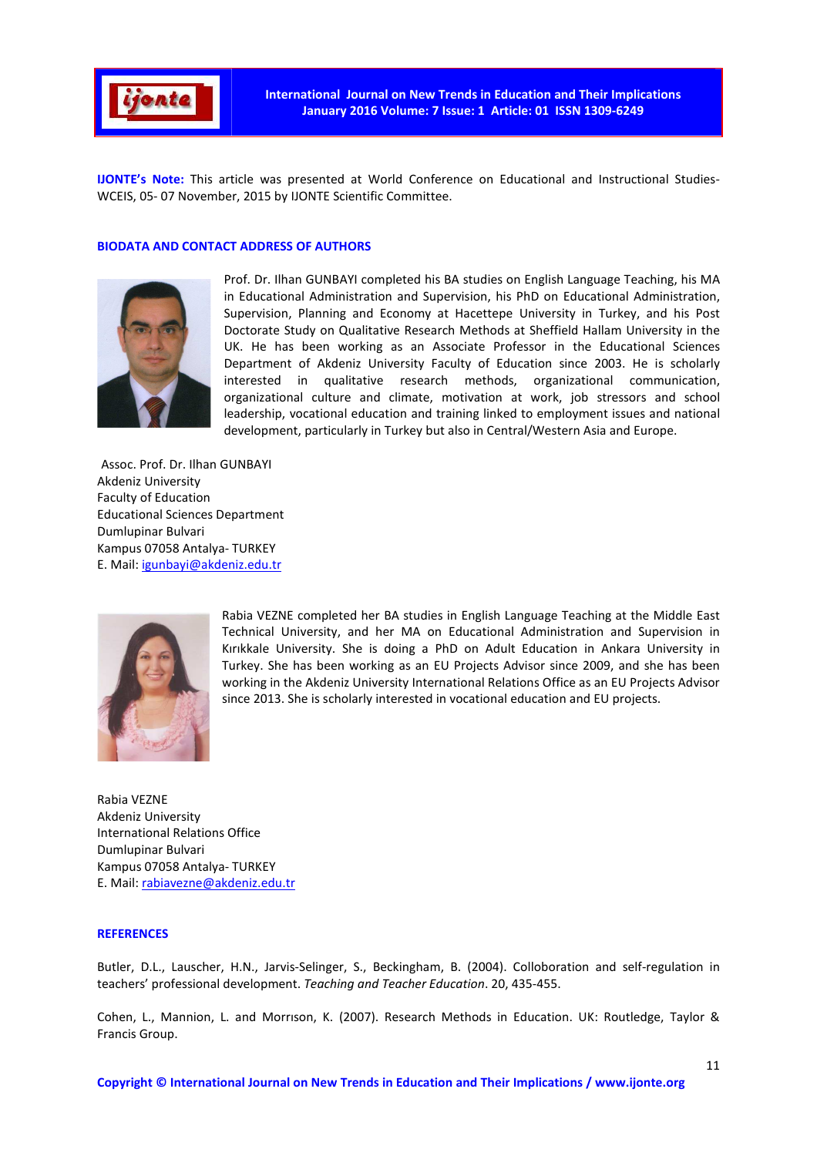

**IJONTE's Note:** This article was presented at World Conference on Educational and Instructional Studies-WCEIS, 05- 07 November, 2015 by IJONTE Scientific Committee.

# **BIODATA AND CONTACT ADDRESS OF AUTHORS**



Prof. Dr. Ilhan GUNBAYI completed his BA studies on English Language Teaching, his MA in Educational Administration and Supervision, his PhD on Educational Administration, Supervision, Planning and Economy at Hacettepe University in Turkey, and his Post Doctorate Study on Qualitative Research Methods at Sheffield Hallam University in the UK. He has been working as an Associate Professor in the Educational Sciences Department of Akdeniz University Faculty of Education since 2003. He is scholarly interested in qualitative research methods, organizational communication, organizational culture and climate, motivation at work, job stressors and school leadership, vocational education and training linked to employment issues and national development, particularly in Turkey but also in Central/Western Asia and Europe.

Assoc. Prof. Dr. Ilhan GUNBAYI Akdeniz University Faculty of Education Educational Sciences Department Dumlupinar Bulvari Kampus 07058 Antalya- TURKEY E. Mail: igunbayi@akdeniz.edu.tr



Rabia VEZNE completed her BA studies in English Language Teaching at the Middle East Technical University, and her MA on Educational Administration and Supervision in Kırıkkale University. She is doing a PhD on Adult Education in Ankara University in Turkey. She has been working as an EU Projects Advisor since 2009, and she has been working in the Akdeniz University International Relations Office as an EU Projects Advisor since 2013. She is scholarly interested in vocational education and EU projects.

Rabia VEZNE Akdeniz University International Relations Office Dumlupinar Bulvari Kampus 07058 Antalya- TURKEY E. Mail: rabiavezne@akdeniz.edu.tr

#### **REFERENCES**

Butler, D.L., Lauscher, H.N., Jarvis-Selinger, S., Beckingham, B. (2004). Colloboration and self-regulation in teachers' professional development. *Teaching and Teacher Education*. 20, 435-455.

Cohen, L., Mannion, L. and Morrıson, K. (2007). Research Methods in Education. UK: Routledge, Taylor & Francis Group.